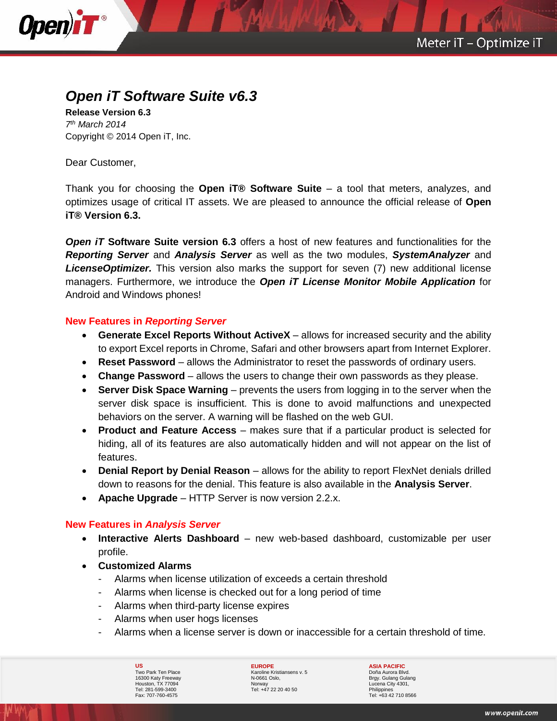

# *Open iT Software Suite v6.3*

**Release Version 6.3** *7 th March 2014* Copyright © 2014 Open iT, Inc.

Dear Customer,

Thank you for choosing the **Open iT® Software Suite** – a tool that meters, analyzes, and optimizes usage of critical IT assets. We are pleased to announce the official release of **Open iT® Version 6.3.**

*Open iT* **Software Suite version 6.3** offers a host of new features and functionalities for the *Reporting Server* and *Analysis Server* as well as the two modules, *SystemAnalyzer* and *LicenseOptimizer.* This version also marks the support for seven (7) new additional license managers. Furthermore, we introduce the *Open iT License Monitor Mobile Application* for Android and Windows phones!

# **New Features in** *Reporting Server*

- **Generate Excel Reports Without ActiveX** allows for increased security and the ability to export Excel reports in Chrome, Safari and other browsers apart from Internet Explorer.
- **Reset Password** allows the Administrator to reset the passwords of ordinary users.
- **Change Password** allows the users to change their own passwords as they please.
- **Server Disk Space Warning** prevents the users from logging in to the server when the server disk space is insufficient. This is done to avoid malfunctions and unexpected behaviors on the server. A warning will be flashed on the web GUI.
- **Product and Feature Access** makes sure that if a particular product is selected for hiding, all of its features are also automatically hidden and will not appear on the list of features.
- **Denial Report by Denial Reason** allows for the ability to report FlexNet denials drilled down to reasons for the denial. This feature is also available in the **Analysis Server**.
- **Apache Upgrade** HTTP Server is now version 2.2.x.

# **New Features in** *Analysis Server*

- **Interactive Alerts Dashboard** new web-based dashboard, customizable per user profile.
- **Customized Alarms**
	- Alarms when license utilization of exceeds a certain threshold
	- Alarms when license is checked out for a long period of time
	- Alarms when third-party license expires
	- Alarms when user hogs licenses
	- Alarms when a license server is down or inaccessible for a certain threshold of time.

**US** Two Park Ten Place 16300 Katy Freeway Houston, TX 77094 Tel: 281-599-3400 Fax: 707-760-4575

**EUROPE** Karoline Kristiansens v. 5 N-0661 Oslo, **Norway** Tel: +47 22 20 40 50

**ASIA PACIFIC** Doña Aurora Blvd. Brgy. Gulang Gulang Lucena City 4301, Philippines Tel: +63 42 710 8566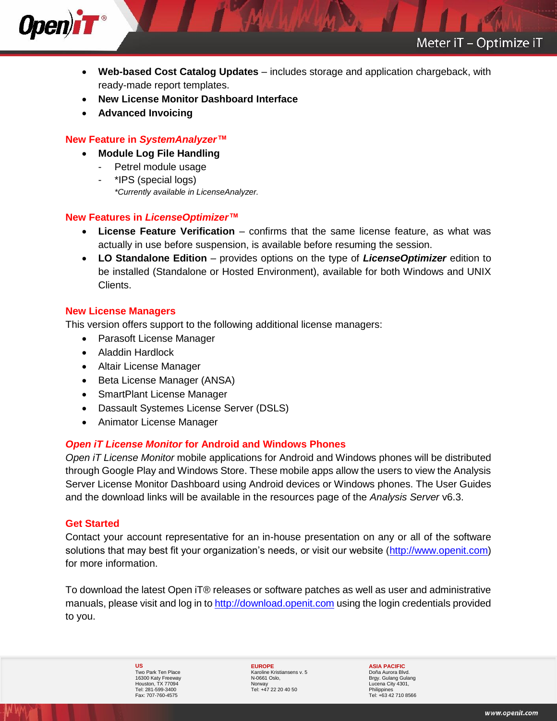

- **Web-based Cost Catalog Updates** includes storage and application chargeback, with ready-made report templates.
- **New License Monitor Dashboard Interface**
- **Advanced Invoicing**

Open)iT<sup>®</sup>

### **New Feature in** *SystemAnalyzer™*

- **Module Log File Handling**
	- Petrel module usage
	- \*IPS (special logs) *\*Currently available in LicenseAnalyzer.*

## **New Features in** *LicenseOptimizer™*

- **License Feature Verification** confirms that the same license feature, as what was actually in use before suspension, is available before resuming the session.
- **LO Standalone Edition** provides options on the type of *LicenseOptimizer* edition to be installed (Standalone or Hosted Environment), available for both Windows and UNIX Clients.

## **New License Managers**

This version offers support to the following additional license managers:

- Parasoft License Manager
- Aladdin Hardlock
- Altair License Manager
- Beta License Manager (ANSA)
- SmartPlant License Manager
- Dassault Systemes License Server (DSLS)
- Animator License Manager

#### *Open iT License Monitor* **for Android and Windows Phones**

*Open iT License Monitor* mobile applications for Android and Windows phones will be distributed through Google Play and Windows Store. These mobile apps allow the users to view the Analysis Server License Monitor Dashboard using Android devices or Windows phones. The User Guides and the download links will be available in the resources page of the *Analysis Server* v6.3.

#### **Get Started**

Contact your account representative for an in-house presentation on any or all of the software solutions that may best fit your organization's needs, or visit our website [\(http://www.openit.com\)](http://www.openit.com/) for more information.

To download the latest Open iT® releases or software patches as well as user and administrative manuals, please visit and log in to [http://download.openit.com](http://download.openit.com/) using the login credentials provided to you.

> **US** Two Park Ten Place 16300 Katy Freeway Houston, TX 77094 Tel: 281-599-3400 Fax: 707-760-4575

**EUROPE** Karoline Kristiansens v. 5 N-0661 Oslo, **Norway** Tel: +47 22 20 40 50

**ASIA PACIFIC** Doña Aurora Blvd. Brgy. Gulang Gulang Lucena City 4301, Philippines Tel: +63 42 710 8566